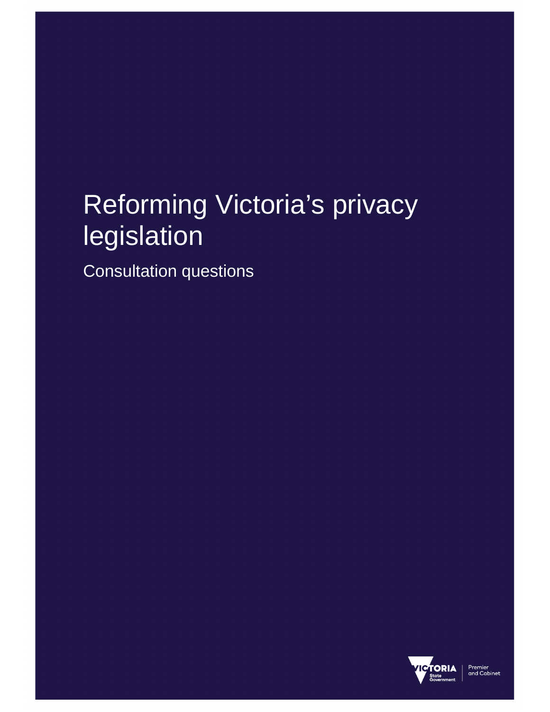# Reforming Victoria's privacy legislation

Consultation questions

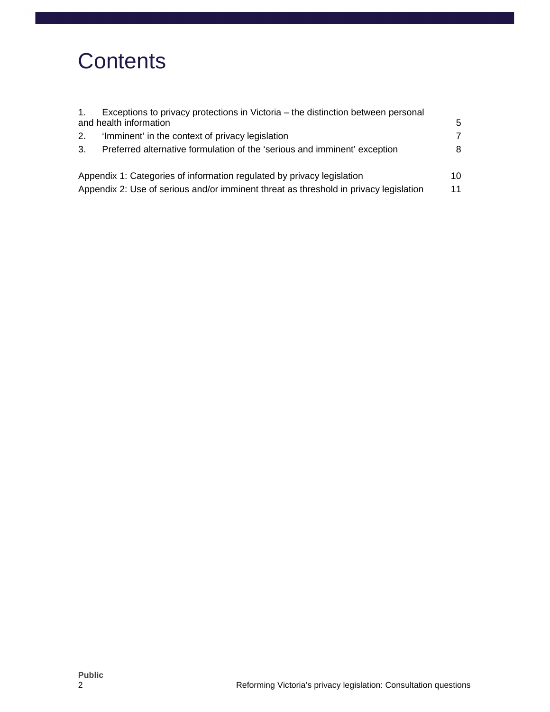## **Contents**

|    | Exceptions to privacy protections in Victoria – the distinction between personal      |    |
|----|---------------------------------------------------------------------------------------|----|
|    | and health information                                                                | 5  |
| 2. | 'Imminent' in the context of privacy legislation                                      | 7  |
| 3. | Preferred alternative formulation of the 'serious and imminent' exception             | 8  |
|    | Appendix 1: Categories of information regulated by privacy legislation                | 10 |
|    | Appendix 2: Use of serious and/or imminent threat as threshold in privacy legislation | 11 |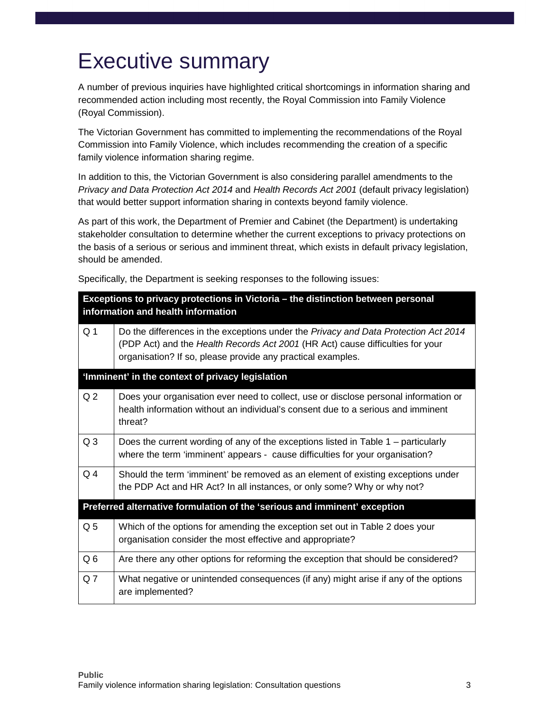## Executive summary

A number of previous inquiries have highlighted critical shortcomings in information sharing and recommended action including most recently, the Royal Commission into Family Violence (Royal Commission).

The Victorian Government has committed to implementing the recommendations of the Royal Commission into Family Violence, which includes recommending the creation of a specific family violence information sharing regime.

In addition to this, the Victorian Government is also considering parallel amendments to the Privacy and Data Protection Act 2014 and Health Records Act 2001 (default privacy legislation) that would better support information sharing in contexts beyond family violence.

As part of this work, the Department of Premier and Cabinet (the Department) is undertaking stakeholder consultation to determine whether the current exceptions to privacy protections on the basis of a serious or serious and imminent threat, which exists in default privacy legislation, should be amended.

Specifically, the Department is seeking responses to the following issues:

|                | Exceptions to privacy protections in Victoria - the distinction between personal<br>information and health information                                                                                                               |
|----------------|--------------------------------------------------------------------------------------------------------------------------------------------------------------------------------------------------------------------------------------|
| Q <sub>1</sub> | Do the differences in the exceptions under the Privacy and Data Protection Act 2014<br>(PDP Act) and the Health Records Act 2001 (HR Act) cause difficulties for your<br>organisation? If so, please provide any practical examples. |
|                | 'Imminent' in the context of privacy legislation                                                                                                                                                                                     |
| Q <sub>2</sub> | Does your organisation ever need to collect, use or disclose personal information or<br>health information without an individual's consent due to a serious and imminent<br>threat?                                                  |
| Q <sub>3</sub> | Does the current wording of any of the exceptions listed in Table 1 – particularly<br>where the term 'imminent' appears - cause difficulties for your organisation?                                                                  |
| Q <sub>4</sub> | Should the term 'imminent' be removed as an element of existing exceptions under<br>the PDP Act and HR Act? In all instances, or only some? Why or why not?                                                                          |
|                | Preferred alternative formulation of the 'serious and imminent' exception                                                                                                                                                            |
| Q <sub>5</sub> | Which of the options for amending the exception set out in Table 2 does your<br>organisation consider the most effective and appropriate?                                                                                            |
| Q <sub>6</sub> | Are there any other options for reforming the exception that should be considered?                                                                                                                                                   |
| Q <sub>7</sub> | What negative or unintended consequences (if any) might arise if any of the options<br>are implemented?                                                                                                                              |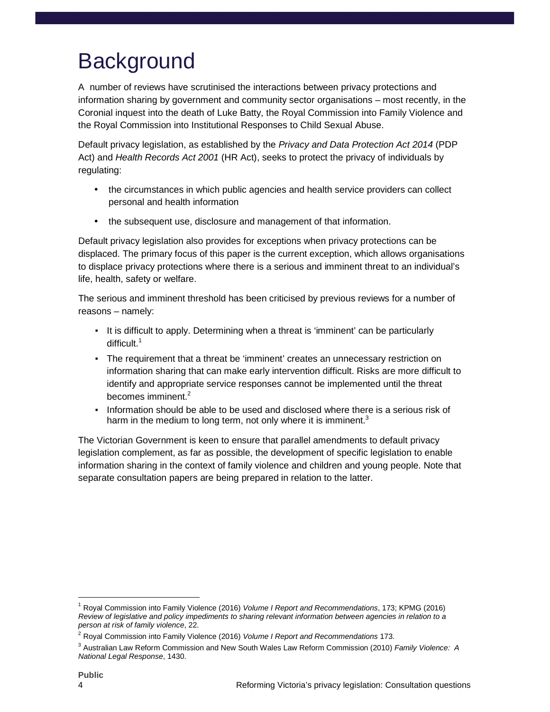## **Background**

A number of reviews have scrutinised the interactions between privacy protections and information sharing by government and community sector organisations – most recently, in the Coronial inquest into the death of Luke Batty, the Royal Commission into Family Violence and the Royal Commission into Institutional Responses to Child Sexual Abuse.

Default privacy legislation, as established by the Privacy and Data Protection Act 2014 (PDP Act) and Health Records Act 2001 (HR Act), seeks to protect the privacy of individuals by regulating:

- the circumstances in which public agencies and health service providers can collect personal and health information
- the subsequent use, disclosure and management of that information.

Default privacy legislation also provides for exceptions when privacy protections can be displaced. The primary focus of this paper is the current exception, which allows organisations to displace privacy protections where there is a serious and imminent threat to an individual's life, health, safety or welfare.

The serious and imminent threshold has been criticised by previous reviews for a number of reasons – namely:

- It is difficult to apply. Determining when a threat is 'imminent' can be particularly difficult.<sup>1</sup>
- The requirement that a threat be 'imminent' creates an unnecessary restriction on information sharing that can make early intervention difficult. Risks are more difficult to identify and appropriate service responses cannot be implemented until the threat becomes imminent.<sup>2</sup>
- **.** Information should be able to be used and disclosed where there is a serious risk of harm in the medium to long term, not only where it is imminent.<sup>3</sup>

The Victorian Government is keen to ensure that parallel amendments to default privacy legislation complement, as far as possible, the development of specific legislation to enable information sharing in the context of family violence and children and young people. Note that separate consultation papers are being prepared in relation to the latter.

 $\overline{a}$ 

<sup>1</sup> Royal Commission into Family Violence (2016) Volume I Report and Recommendations, 173; KPMG (2016) Review of legislative and policy impediments to sharing relevant information between agencies in relation to a person at risk of family violence, 22.

<sup>&</sup>lt;sup>2</sup> Royal Commission into Family Violence (2016) Volume I Report and Recommendations 173.

<sup>&</sup>lt;sup>3</sup> Australian Law Reform Commission and New South Wales Law Reform Commission (2010) *Family Violence: A* National Legal Response, 1430.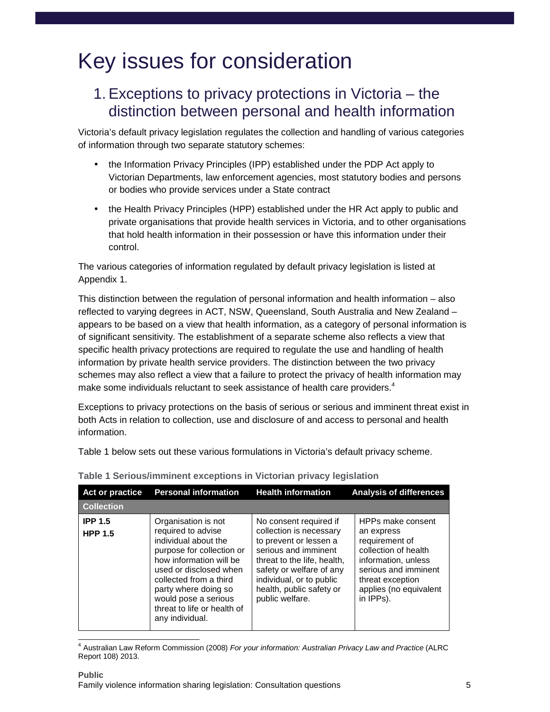## Key issues for consideration

### 1. Exceptions to privacy protections in Victoria – the distinction between personal and health information

Victoria's default privacy legislation regulates the collection and handling of various categories of information through two separate statutory schemes:

- the Information Privacy Principles (IPP) established under the PDP Act apply to Victorian Departments, law enforcement agencies, most statutory bodies and persons or bodies who provide services under a State contract
- the Health Privacy Principles (HPP) established under the HR Act apply to public and private organisations that provide health services in Victoria, and to other organisations that hold health information in their possession or have this information under their control.

The various categories of information regulated by default privacy legislation is listed at Appendix 1.

This distinction between the regulation of personal information and health information – also reflected to varying degrees in ACT, NSW, Queensland, South Australia and New Zealand – appears to be based on a view that health information, as a category of personal information is of significant sensitivity. The establishment of a separate scheme also reflects a view that specific health privacy protections are required to regulate the use and handling of health information by private health service providers. The distinction between the two privacy schemes may also reflect a view that a failure to protect the privacy of health information may make some individuals reluctant to seek assistance of health care providers.<sup>4</sup>

Exceptions to privacy protections on the basis of serious or serious and imminent threat exist in both Acts in relation to collection, use and disclosure of and access to personal and health information.

Table 1 below sets out these various formulations in Victoria's default privacy scheme.

| Act or practice                  | <b>Personal information</b>                                                                                                                                                                                                                                                     | <b>Health information</b>                                                                                                                                                                                                                 | <b>Analysis of differences</b>                                                                                                                                                      |
|----------------------------------|---------------------------------------------------------------------------------------------------------------------------------------------------------------------------------------------------------------------------------------------------------------------------------|-------------------------------------------------------------------------------------------------------------------------------------------------------------------------------------------------------------------------------------------|-------------------------------------------------------------------------------------------------------------------------------------------------------------------------------------|
| <b>Collection</b>                |                                                                                                                                                                                                                                                                                 |                                                                                                                                                                                                                                           |                                                                                                                                                                                     |
| <b>IPP 1.5</b><br><b>HPP 1.5</b> | Organisation is not<br>required to advise<br>individual about the<br>purpose for collection or<br>how information will be<br>used or disclosed when<br>collected from a third<br>party where doing so<br>would pose a serious<br>threat to life or health of<br>any individual. | No consent required if<br>collection is necessary<br>to prevent or lessen a<br>serious and imminent<br>threat to the life, health,<br>safety or welfare of any<br>individual, or to public<br>health, public safety or<br>public welfare. | HPPs make consent<br>an express<br>requirement of<br>collection of health<br>information, unless<br>serious and imminent<br>threat exception<br>applies (no equivalent<br>in IPPs). |

#### **Table 1 Serious/imminent exceptions in Victorian privacy legislation**

 $\overline{a}$ 

<sup>&</sup>lt;sup>4</sup> Australian Law Reform Commission (2008) For your information: Australian Privacy Law and Practice (ALRC Report 108) 2013.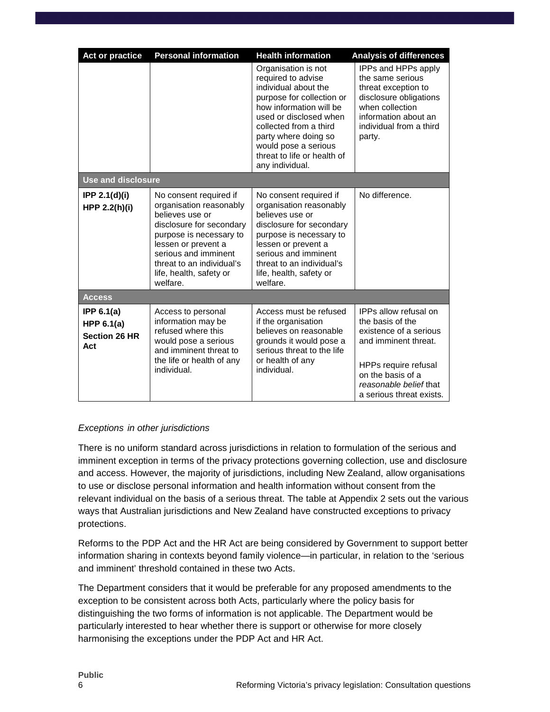| <b>Act or practice</b>                                      | <b>Personal information</b>                                                                                                                                                                                                                    | <b>Health information</b>                                                                                                                                                                                                                                                       | <b>Analysis of differences</b>                                                                                                                                                                 |
|-------------------------------------------------------------|------------------------------------------------------------------------------------------------------------------------------------------------------------------------------------------------------------------------------------------------|---------------------------------------------------------------------------------------------------------------------------------------------------------------------------------------------------------------------------------------------------------------------------------|------------------------------------------------------------------------------------------------------------------------------------------------------------------------------------------------|
|                                                             |                                                                                                                                                                                                                                                | Organisation is not<br>required to advise<br>individual about the<br>purpose for collection or<br>how information will be<br>used or disclosed when<br>collected from a third<br>party where doing so<br>would pose a serious<br>threat to life or health of<br>any individual. | IPPs and HPPs apply<br>the same serious<br>threat exception to<br>disclosure obligations<br>when collection<br>information about an<br>individual from a third<br>party.                       |
| <b>Use and disclosure</b>                                   |                                                                                                                                                                                                                                                |                                                                                                                                                                                                                                                                                 |                                                                                                                                                                                                |
| <b>IPP 2.1(d)(i)</b><br>HPP 2.2(h)(i)                       | No consent required if<br>organisation reasonably<br>believes use or<br>disclosure for secondary<br>purpose is necessary to<br>lessen or prevent a<br>serious and imminent<br>threat to an individual's<br>life, health, safety or<br>welfare. | No consent required if<br>organisation reasonably<br>believes use or<br>disclosure for secondary<br>purpose is necessary to<br>lessen or prevent a<br>serious and imminent<br>threat to an individual's<br>life, health, safety or<br>welfare.                                  | No difference.                                                                                                                                                                                 |
| <b>Access</b>                                               |                                                                                                                                                                                                                                                |                                                                                                                                                                                                                                                                                 |                                                                                                                                                                                                |
| IPP $6.1(a)$<br>HPP $6.1(a)$<br><b>Section 26 HR</b><br>Act | Access to personal<br>information may be<br>refused where this<br>would pose a serious<br>and imminent threat to<br>the life or health of any<br>individual.                                                                                   | Access must be refused<br>if the organisation<br>believes on reasonable<br>grounds it would pose a<br>serious threat to the life<br>or health of any<br>individual.                                                                                                             | IPPs allow refusal on<br>the basis of the<br>existence of a serious<br>and imminent threat.<br>HPPs require refusal<br>on the basis of a<br>reasonable belief that<br>a serious threat exists. |

#### Exceptions in other jurisdictions

There is no uniform standard across jurisdictions in relation to formulation of the serious and imminent exception in terms of the privacy protections governing collection, use and disclosure and access. However, the majority of jurisdictions, including New Zealand, allow organisations to use or disclose personal information and health information without consent from the relevant individual on the basis of a serious threat. The table at Appendix 2 sets out the various ways that Australian jurisdictions and New Zealand have constructed exceptions to privacy protections.

Reforms to the PDP Act and the HR Act are being considered by Government to support better information sharing in contexts beyond family violence—in particular, in relation to the 'serious and imminent' threshold contained in these two Acts.

The Department considers that it would be preferable for any proposed amendments to the exception to be consistent across both Acts, particularly where the policy basis for distinguishing the two forms of information is not applicable. The Department would be particularly interested to hear whether there is support or otherwise for more closely harmonising the exceptions under the PDP Act and HR Act.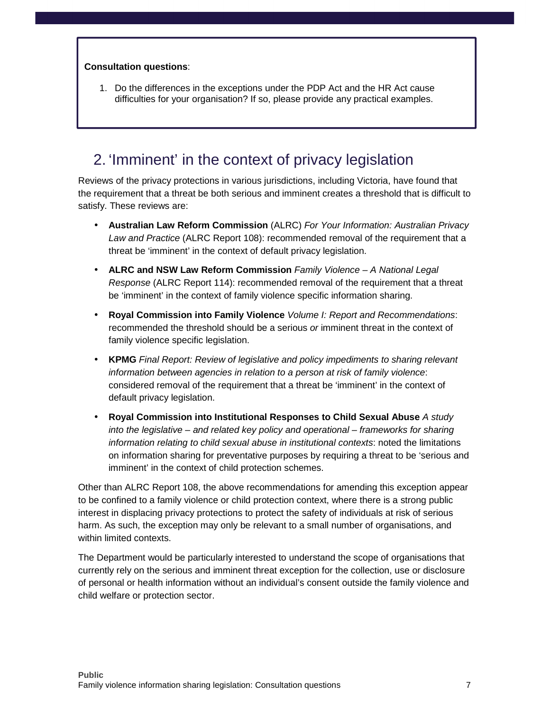#### **Consultation questions**:

1. Do the differences in the exceptions under the PDP Act and the HR Act cause difficulties for your organisation? If so, please provide any practical examples.

### 2. 'Imminent' in the context of privacy legislation

Reviews of the privacy protections in various jurisdictions, including Victoria, have found that the requirement that a threat be both serious and imminent creates a threshold that is difficult to satisfy. These reviews are:

- **Australian Law Reform Commission** (ALRC) For Your Information: Australian Privacy Law and Practice (ALRC Report 108): recommended removal of the requirement that a threat be 'imminent' in the context of default privacy legislation.
- **ALRC and NSW Law Reform Commission** Family Violence A National Legal Response (ALRC Report 114): recommended removal of the requirement that a threat be 'imminent' in the context of family violence specific information sharing.
- **Royal Commission into Family Violence** Volume I: Report and Recommendations: recommended the threshold should be a serious or imminent threat in the context of family violence specific legislation.
- **KPMG** Final Report: Review of legislative and policy impediments to sharing relevant information between agencies in relation to a person at risk of family violence: considered removal of the requirement that a threat be 'imminent' in the context of default privacy legislation.
- **Royal Commission into Institutional Responses to Child Sexual Abuse** A study into the legislative – and related key policy and operational – frameworks for sharing information relating to child sexual abuse in institutional contexts: noted the limitations on information sharing for preventative purposes by requiring a threat to be 'serious and imminent' in the context of child protection schemes.

Other than ALRC Report 108, the above recommendations for amending this exception appear to be confined to a family violence or child protection context, where there is a strong public interest in displacing privacy protections to protect the safety of individuals at risk of serious harm. As such, the exception may only be relevant to a small number of organisations, and within limited contexts.

The Department would be particularly interested to understand the scope of organisations that currently rely on the serious and imminent threat exception for the collection, use or disclosure of personal or health information without an individual's consent outside the family violence and child welfare or protection sector.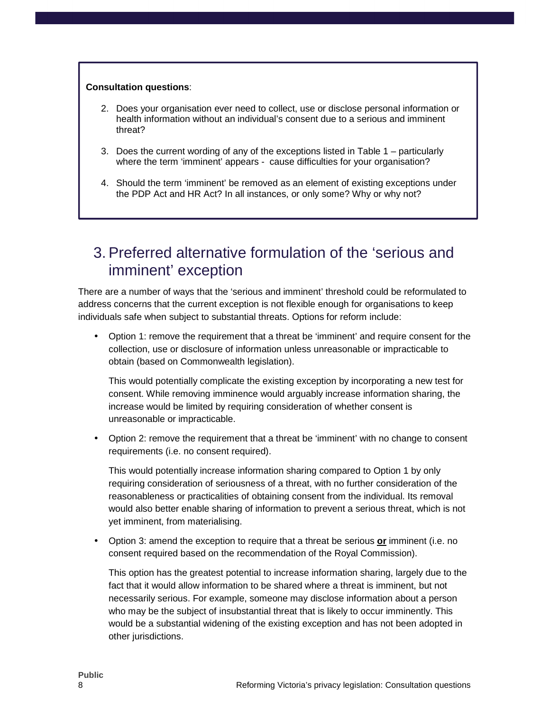#### **Consultation questions**:

- 2. Does your organisation ever need to collect, use or disclose personal information or health information without an individual's consent due to a serious and imminent threat?
- 3. Does the current wording of any of the exceptions listed in Table 1 particularly where the term 'imminent' appears - cause difficulties for your organisation?
- 4. Should the term 'imminent' be removed as an element of existing exceptions under the PDP Act and HR Act? In all instances, or only some? Why or why not?

### 3. Preferred alternative formulation of the 'serious and imminent' exception

There are a number of ways that the 'serious and imminent' threshold could be reformulated to address concerns that the current exception is not flexible enough for organisations to keep individuals safe when subject to substantial threats. Options for reform include:

• Option 1: remove the requirement that a threat be 'imminent' and require consent for the collection, use or disclosure of information unless unreasonable or impracticable to obtain (based on Commonwealth legislation).

This would potentially complicate the existing exception by incorporating a new test for consent. While removing imminence would arguably increase information sharing, the increase would be limited by requiring consideration of whether consent is unreasonable or impracticable.

• Option 2: remove the requirement that a threat be 'imminent' with no change to consent requirements (i.e. no consent required).

This would potentially increase information sharing compared to Option 1 by only requiring consideration of seriousness of a threat, with no further consideration of the reasonableness or practicalities of obtaining consent from the individual. Its removal would also better enable sharing of information to prevent a serious threat, which is not yet imminent, from materialising.

• Option 3: amend the exception to require that a threat be serious **or** imminent (i.e. no consent required based on the recommendation of the Royal Commission).

This option has the greatest potential to increase information sharing, largely due to the fact that it would allow information to be shared where a threat is imminent, but not necessarily serious. For example, someone may disclose information about a person who may be the subject of insubstantial threat that is likely to occur imminently. This would be a substantial widening of the existing exception and has not been adopted in other jurisdictions.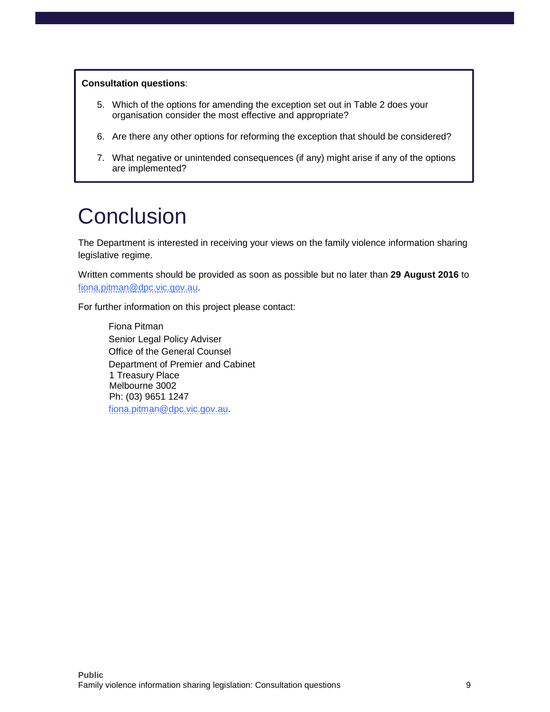#### **Consultation questions**:

- 5. Which of the options for amending the exception set out in Table 2 does your organisation consider the most effective and appropriate?
- 6. Are there any other options for reforming the exception that should be considered?
- 7. What negative or unintended consequences (if any) might arise if any of the options are implemented?

## **Conclusion**

The Department is interested in receiving your views on the family violence information sharing legislative regime.

Written comments should be provided as soon as possible but no later than **29 August 2016** to fiona.pitman@dpc.vic.gov.au.

For further information on this project please contact:

Fiona Pitman Senior Legal Policy Adviser Office of the General Counsel Department of Premier and Cabinet 1 Treasury Place Melbourne 3002 Ph: (03) 9651 1247 fiona.pitman@dpc.vic.gov.au.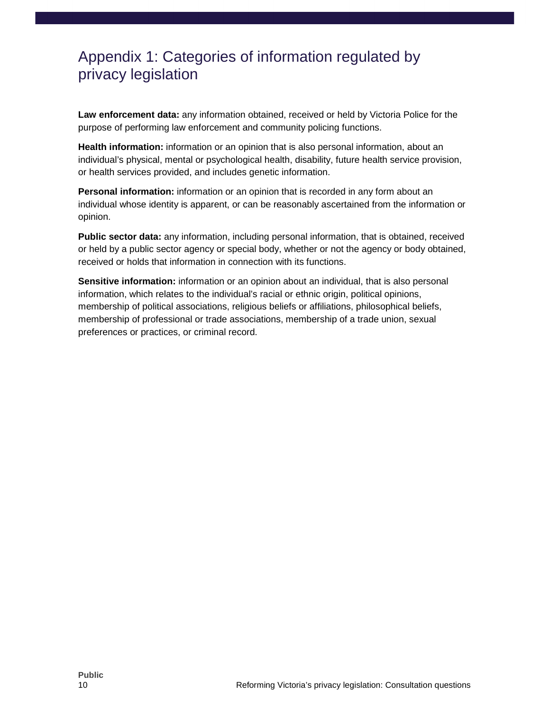### Appendix 1: Categories of information regulated by privacy legislation

**Law enforcement data:** any information obtained, received or held by Victoria Police for the purpose of performing law enforcement and community policing functions.

**Health information:** information or an opinion that is also personal information, about an individual's physical, mental or psychological health, disability, future health service provision, or health services provided, and includes genetic information.

**Personal information:** information or an opinion that is recorded in any form about an individual whose identity is apparent, or can be reasonably ascertained from the information or opinion.

**Public sector data:** any information, including personal information, that is obtained, received or held by a public sector agency or special body, whether or not the agency or body obtained, received or holds that information in connection with its functions.

**Sensitive information:** information or an opinion about an individual, that is also personal information, which relates to the individual's racial or ethnic origin, political opinions, membership of political associations, religious beliefs or affiliations, philosophical beliefs, membership of professional or trade associations, membership of a trade union, sexual preferences or practices, or criminal record.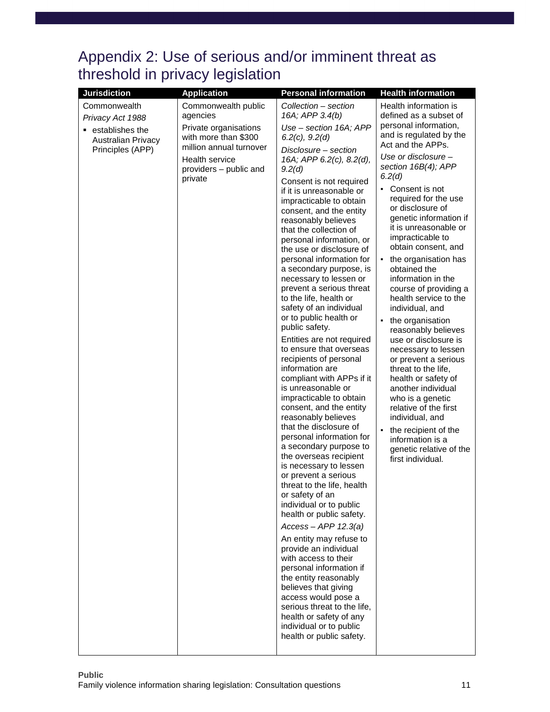### Appendix 2: Use of serious and/or imminent threat as threshold in privacy legislation

| <b>Jurisdiction</b>                                                   | <b>Application</b>                                                                                                              | <b>Personal information</b>                                                                                                                                                                                                                                                                                                                                                                                                                                                                                                                                                                                                                                                                                                                                                                                                                                                                                                                                                                                                                                                                                                                                                                                                                                                                                                                            | <b>Health information</b>                                                                                                                                                                                                                                                                                                                                                                                                                                                                                                                                                                                                                                                                                                                                                                                  |
|-----------------------------------------------------------------------|---------------------------------------------------------------------------------------------------------------------------------|--------------------------------------------------------------------------------------------------------------------------------------------------------------------------------------------------------------------------------------------------------------------------------------------------------------------------------------------------------------------------------------------------------------------------------------------------------------------------------------------------------------------------------------------------------------------------------------------------------------------------------------------------------------------------------------------------------------------------------------------------------------------------------------------------------------------------------------------------------------------------------------------------------------------------------------------------------------------------------------------------------------------------------------------------------------------------------------------------------------------------------------------------------------------------------------------------------------------------------------------------------------------------------------------------------------------------------------------------------|------------------------------------------------------------------------------------------------------------------------------------------------------------------------------------------------------------------------------------------------------------------------------------------------------------------------------------------------------------------------------------------------------------------------------------------------------------------------------------------------------------------------------------------------------------------------------------------------------------------------------------------------------------------------------------------------------------------------------------------------------------------------------------------------------------|
| Commonwealth                                                          | Commonwealth public                                                                                                             | Collection - section                                                                                                                                                                                                                                                                                                                                                                                                                                                                                                                                                                                                                                                                                                                                                                                                                                                                                                                                                                                                                                                                                                                                                                                                                                                                                                                                   | Health information is                                                                                                                                                                                                                                                                                                                                                                                                                                                                                                                                                                                                                                                                                                                                                                                      |
| Privacy Act 1988                                                      | agencies                                                                                                                        | 16A; APP 3.4(b)                                                                                                                                                                                                                                                                                                                                                                                                                                                                                                                                                                                                                                                                                                                                                                                                                                                                                                                                                                                                                                                                                                                                                                                                                                                                                                                                        | defined as a subset of                                                                                                                                                                                                                                                                                                                                                                                                                                                                                                                                                                                                                                                                                                                                                                                     |
| establishes the<br>٠<br><b>Australian Privacy</b><br>Principles (APP) | Private organisations<br>with more than \$300<br>million annual turnover<br>Health service<br>providers - public and<br>private | Use - section 16A; APP<br>$6.2(c)$ , $9.2(d)$<br>Disclosure - section<br>16A; APP 6.2(c), 8.2(d),<br>9.2(d)<br>Consent is not required<br>if it is unreasonable or<br>impracticable to obtain<br>consent, and the entity<br>reasonably believes<br>that the collection of<br>personal information, or<br>the use or disclosure of<br>personal information for<br>a secondary purpose, is<br>necessary to lessen or<br>prevent a serious threat<br>to the life, health or<br>safety of an individual<br>or to public health or<br>public safety.<br>Entities are not required<br>to ensure that overseas<br>recipients of personal<br>information are<br>compliant with APPs if it<br>is unreasonable or<br>impracticable to obtain<br>consent, and the entity<br>reasonably believes<br>that the disclosure of<br>personal information for<br>a secondary purpose to<br>the overseas recipient<br>is necessary to lessen<br>or prevent a serious<br>threat to the life, health<br>or safety of an<br>individual or to public<br>health or public safety.<br>$Access - APP 12.3(a)$<br>An entity may refuse to<br>provide an individual<br>with access to their<br>personal information if<br>the entity reasonably<br>believes that giving<br>access would pose a<br>serious threat to the life,<br>health or safety of any<br>individual or to public | personal information,<br>and is regulated by the<br>Act and the APPs.<br>Use or disclosure -<br>section 16B(4); APP<br>6.2(d)<br>Consent is not<br>$\blacksquare$<br>required for the use<br>or disclosure of<br>genetic information if<br>it is unreasonable or<br>impracticable to<br>obtain consent, and<br>the organisation has<br>٠<br>obtained the<br>information in the<br>course of providing a<br>health service to the<br>individual, and<br>the organisation<br>٠<br>reasonably believes<br>use or disclosure is<br>necessary to lessen<br>or prevent a serious<br>threat to the life,<br>health or safety of<br>another individual<br>who is a genetic<br>relative of the first<br>individual, and<br>the recipient of the<br>information is a<br>genetic relative of the<br>first individual. |
|                                                                       |                                                                                                                                 | health or public safety.                                                                                                                                                                                                                                                                                                                                                                                                                                                                                                                                                                                                                                                                                                                                                                                                                                                                                                                                                                                                                                                                                                                                                                                                                                                                                                                               |                                                                                                                                                                                                                                                                                                                                                                                                                                                                                                                                                                                                                                                                                                                                                                                                            |
|                                                                       |                                                                                                                                 |                                                                                                                                                                                                                                                                                                                                                                                                                                                                                                                                                                                                                                                                                                                                                                                                                                                                                                                                                                                                                                                                                                                                                                                                                                                                                                                                                        |                                                                                                                                                                                                                                                                                                                                                                                                                                                                                                                                                                                                                                                                                                                                                                                                            |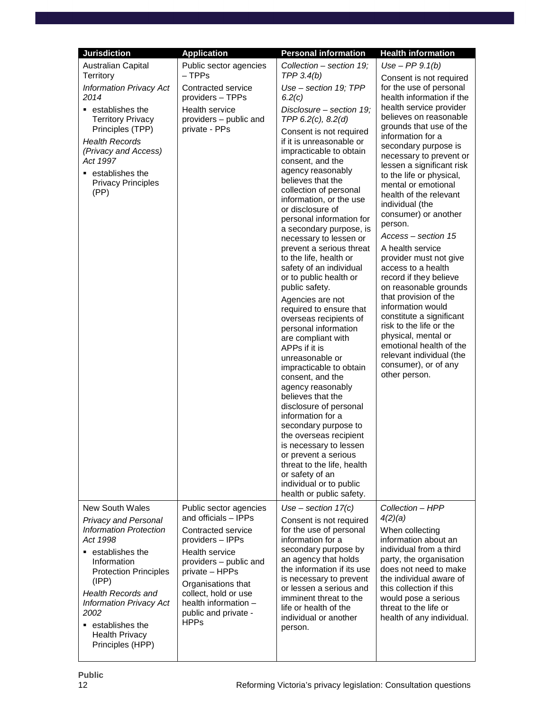| <b>Jurisdiction</b>                                                                                                                                                                                                                                                                                               | <b>Application</b>                                                                                                                                                                                                                                                         | <b>Personal information</b>                                                                                                                                                                                                                                                                                                                                                                                                                                                                                                                                                                                                                                                                                                                                                                                                                                                                                                                                                                                                                  | <b>Health information</b>                                                                                                                                                                                                                                                                                                                                                                                                                                                                                                                                                                                                                                                                                                                                                         |
|-------------------------------------------------------------------------------------------------------------------------------------------------------------------------------------------------------------------------------------------------------------------------------------------------------------------|----------------------------------------------------------------------------------------------------------------------------------------------------------------------------------------------------------------------------------------------------------------------------|----------------------------------------------------------------------------------------------------------------------------------------------------------------------------------------------------------------------------------------------------------------------------------------------------------------------------------------------------------------------------------------------------------------------------------------------------------------------------------------------------------------------------------------------------------------------------------------------------------------------------------------------------------------------------------------------------------------------------------------------------------------------------------------------------------------------------------------------------------------------------------------------------------------------------------------------------------------------------------------------------------------------------------------------|-----------------------------------------------------------------------------------------------------------------------------------------------------------------------------------------------------------------------------------------------------------------------------------------------------------------------------------------------------------------------------------------------------------------------------------------------------------------------------------------------------------------------------------------------------------------------------------------------------------------------------------------------------------------------------------------------------------------------------------------------------------------------------------|
| Australian Capital<br>Territory                                                                                                                                                                                                                                                                                   | Public sector agencies<br>$-$ TPPs                                                                                                                                                                                                                                         | Collection - section 19;<br>TPP $3.4(b)$                                                                                                                                                                                                                                                                                                                                                                                                                                                                                                                                                                                                                                                                                                                                                                                                                                                                                                                                                                                                     | Use $-PP$ 9.1(b)                                                                                                                                                                                                                                                                                                                                                                                                                                                                                                                                                                                                                                                                                                                                                                  |
| <b>Information Privacy Act</b><br>2014<br>$\blacksquare$ establishes the<br><b>Territory Privacy</b><br>Principles (TPP)<br><b>Health Records</b><br>(Privacy and Access)<br>Act 1997<br>• establishes the<br><b>Privacy Principles</b><br>(PP)                                                                   | Contracted service<br>providers - TPPs<br>Health service<br>providers - public and<br>private - PPs                                                                                                                                                                        | Use - section 19; TPP<br>6.2(c)<br>Disclosure - section 19;<br>TPP $6.2(c)$ , $8.2(d)$<br>Consent is not required<br>if it is unreasonable or<br>impracticable to obtain<br>consent, and the<br>agency reasonably<br>believes that the<br>collection of personal<br>information, or the use<br>or disclosure of<br>personal information for<br>a secondary purpose, is<br>necessary to lessen or<br>prevent a serious threat<br>to the life, health or<br>safety of an individual<br>or to public health or<br>public safety.<br>Agencies are not<br>required to ensure that<br>overseas recipients of<br>personal information<br>are compliant with<br>APPs if it is<br>unreasonable or<br>impracticable to obtain<br>consent, and the<br>agency reasonably<br>believes that the<br>disclosure of personal<br>information for a<br>secondary purpose to<br>the overseas recipient<br>is necessary to lessen<br>or prevent a serious<br>threat to the life, health<br>or safety of an<br>individual or to public<br>health or public safety. | Consent is not required<br>for the use of personal<br>health information if the<br>health service provider<br>believes on reasonable<br>grounds that use of the<br>information for a<br>secondary purpose is<br>necessary to prevent or<br>lessen a significant risk<br>to the life or physical,<br>mental or emotional<br>health of the relevant<br>individual (the<br>consumer) or another<br>person.<br>Access – section 15<br>A health service<br>provider must not give<br>access to a health<br>record if they believe<br>on reasonable grounds<br>that provision of the<br>information would<br>constitute a significant<br>risk to the life or the<br>physical, mental or<br>emotional health of the<br>relevant individual (the<br>consumer), or of any<br>other person. |
| New South Wales<br><b>Privacy and Personal</b><br><b>Information Protection</b><br>Act 1998<br>■ establishes the<br>Information<br><b>Protection Principles</b><br>(IPP)<br><b>Health Records and</b><br><b>Information Privacy Act</b><br>2002<br>■ establishes the<br><b>Health Privacy</b><br>Principles (HPP) | Public sector agencies<br>and officials - IPPs<br>Contracted service<br>providers - IPPs<br><b>Health service</b><br>providers - public and<br>private - HPPs<br>Organisations that<br>collect, hold or use<br>health information -<br>public and private -<br><b>HPPs</b> | Use - section $17(c)$<br>Consent is not required<br>for the use of personal<br>information for a<br>secondary purpose by<br>an agency that holds<br>the information if its use<br>is necessary to prevent<br>or lessen a serious and<br>imminent threat to the<br>life or health of the<br>individual or another<br>person.                                                                                                                                                                                                                                                                                                                                                                                                                                                                                                                                                                                                                                                                                                                  | Collection - HPP<br>4(2)(a)<br>When collecting<br>information about an<br>individual from a third<br>party, the organisation<br>does not need to make<br>the individual aware of<br>this collection if this<br>would pose a serious<br>threat to the life or<br>health of any individual.                                                                                                                                                                                                                                                                                                                                                                                                                                                                                         |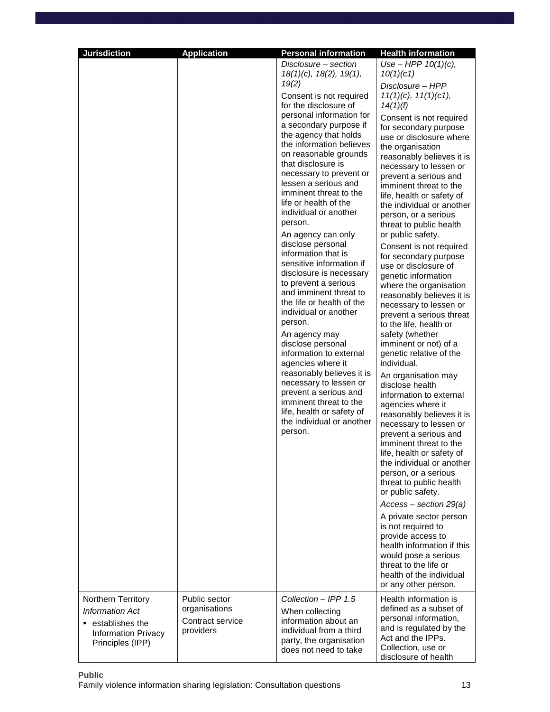| <b>Jurisdiction</b>                                                                                               | <b>Application</b>                                              | <b>Personal information</b>                                                                                                                                                                                                                                                                                                                                                                                                                                                                                                                                                                                                                                                                                                                                                                                                                                                                                                                | <b>Health information</b>                                                                                                                                                                                                                                                                                                                                                                                                                                                                                                                                                                                                                                                                                                                                                                                                                                                                                                                                                                                                                                                                                                                                                                                                                                                                                                                                   |
|-------------------------------------------------------------------------------------------------------------------|-----------------------------------------------------------------|--------------------------------------------------------------------------------------------------------------------------------------------------------------------------------------------------------------------------------------------------------------------------------------------------------------------------------------------------------------------------------------------------------------------------------------------------------------------------------------------------------------------------------------------------------------------------------------------------------------------------------------------------------------------------------------------------------------------------------------------------------------------------------------------------------------------------------------------------------------------------------------------------------------------------------------------|-------------------------------------------------------------------------------------------------------------------------------------------------------------------------------------------------------------------------------------------------------------------------------------------------------------------------------------------------------------------------------------------------------------------------------------------------------------------------------------------------------------------------------------------------------------------------------------------------------------------------------------------------------------------------------------------------------------------------------------------------------------------------------------------------------------------------------------------------------------------------------------------------------------------------------------------------------------------------------------------------------------------------------------------------------------------------------------------------------------------------------------------------------------------------------------------------------------------------------------------------------------------------------------------------------------------------------------------------------------|
|                                                                                                                   |                                                                 | Disclosure - section<br>$18(1)(c)$ , $18(2)$ , $19(1)$ ,<br>19(2)<br>Consent is not required<br>for the disclosure of<br>personal information for<br>a secondary purpose if<br>the agency that holds<br>the information believes<br>on reasonable grounds<br>that disclosure is<br>necessary to prevent or<br>lessen a serious and<br>imminent threat to the<br>life or health of the<br>individual or another<br>person.<br>An agency can only<br>disclose personal<br>information that is<br>sensitive information if<br>disclosure is necessary<br>to prevent a serious<br>and imminent threat to<br>the life or health of the<br>individual or another<br>person.<br>An agency may<br>disclose personal<br>information to external<br>agencies where it<br>reasonably believes it is<br>necessary to lessen or<br>prevent a serious and<br>imminent threat to the<br>life, health or safety of<br>the individual or another<br>person. | Use – HPP $10(1)(c)$ ,<br>10(1)(c1)<br>Disclosure - HPP<br>$11(1)(c)$ , $11(1)(c1)$ ,<br>14(1)(f)<br>Consent is not required<br>for secondary purpose<br>use or disclosure where<br>the organisation<br>reasonably believes it is<br>necessary to lessen or<br>prevent a serious and<br>imminent threat to the<br>life, health or safety of<br>the individual or another<br>person, or a serious<br>threat to public health<br>or public safety.<br>Consent is not required<br>for secondary purpose<br>use or disclosure of<br>genetic information<br>where the organisation<br>reasonably believes it is<br>necessary to lessen or<br>prevent a serious threat<br>to the life, health or<br>safety (whether<br>imminent or not) of a<br>genetic relative of the<br>individual.<br>An organisation may<br>disclose health<br>information to external<br>agencies where it<br>reasonably believes it is<br>necessary to lessen or<br>prevent a serious and<br>imminent threat to the<br>life, health or safety of<br>the individual or another<br>person, or a serious<br>threat to public health<br>or public safety.<br>$Access - section 29(a)$<br>A private sector person<br>is not required to<br>provide access to<br>health information if this<br>would pose a serious<br>threat to the life or<br>health of the individual<br>or any other person. |
| Northern Territory<br><b>Information Act</b><br>establishes the<br><b>Information Privacy</b><br>Principles (IPP) | Public sector<br>organisations<br>Contract service<br>providers | Collection - IPP 1.5<br>When collecting<br>information about an<br>individual from a third<br>party, the organisation<br>does not need to take                                                                                                                                                                                                                                                                                                                                                                                                                                                                                                                                                                                                                                                                                                                                                                                             | Health information is<br>defined as a subset of<br>personal information,<br>and is regulated by the<br>Act and the IPPs.<br>Collection, use or<br>disclosure of health                                                                                                                                                                                                                                                                                                                                                                                                                                                                                                                                                                                                                                                                                                                                                                                                                                                                                                                                                                                                                                                                                                                                                                                      |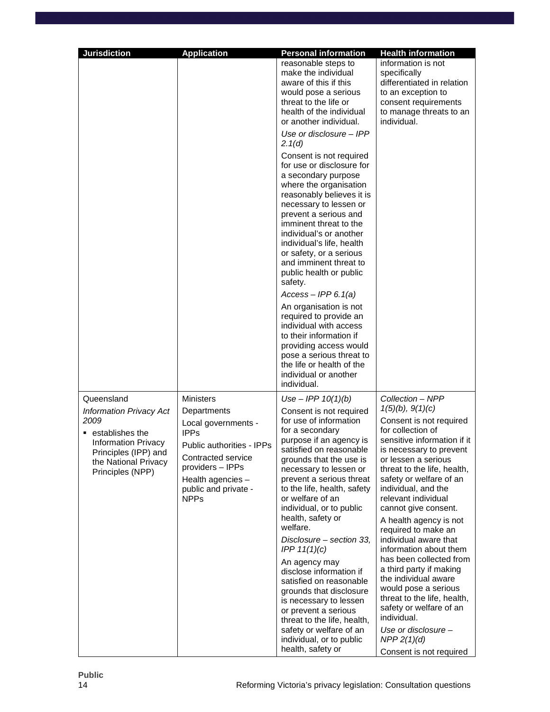| <b>Jurisdiction</b>                                                                                                                                         | <b>Application</b>                                                                                                                                                                   | <b>Personal information</b>                                                                                                                                                                                                                                                                                                                                                                                                                                                                                                                                                                                       | <b>Health information</b>                                                                                                                                                                                                                                                                                                                                                                                                                                                                                                                                                                                      |
|-------------------------------------------------------------------------------------------------------------------------------------------------------------|--------------------------------------------------------------------------------------------------------------------------------------------------------------------------------------|-------------------------------------------------------------------------------------------------------------------------------------------------------------------------------------------------------------------------------------------------------------------------------------------------------------------------------------------------------------------------------------------------------------------------------------------------------------------------------------------------------------------------------------------------------------------------------------------------------------------|----------------------------------------------------------------------------------------------------------------------------------------------------------------------------------------------------------------------------------------------------------------------------------------------------------------------------------------------------------------------------------------------------------------------------------------------------------------------------------------------------------------------------------------------------------------------------------------------------------------|
|                                                                                                                                                             |                                                                                                                                                                                      | reasonable steps to<br>make the individual<br>aware of this if this<br>would pose a serious<br>threat to the life or<br>health of the individual<br>or another individual.                                                                                                                                                                                                                                                                                                                                                                                                                                        | information is not<br>specifically<br>differentiated in relation<br>to an exception to<br>consent requirements<br>to manage threats to an<br>individual.                                                                                                                                                                                                                                                                                                                                                                                                                                                       |
|                                                                                                                                                             |                                                                                                                                                                                      | Use or disclosure - IPP<br>2.1(d)                                                                                                                                                                                                                                                                                                                                                                                                                                                                                                                                                                                 |                                                                                                                                                                                                                                                                                                                                                                                                                                                                                                                                                                                                                |
|                                                                                                                                                             |                                                                                                                                                                                      | Consent is not required<br>for use or disclosure for<br>a secondary purpose<br>where the organisation<br>reasonably believes it is<br>necessary to lessen or<br>prevent a serious and<br>imminent threat to the<br>individual's or another<br>individual's life, health<br>or safety, or a serious<br>and imminent threat to<br>public health or public<br>safety.                                                                                                                                                                                                                                                |                                                                                                                                                                                                                                                                                                                                                                                                                                                                                                                                                                                                                |
|                                                                                                                                                             |                                                                                                                                                                                      | $Access - IPP 6.1(a)$<br>An organisation is not<br>required to provide an<br>individual with access<br>to their information if<br>providing access would<br>pose a serious threat to<br>the life or health of the<br>individual or another<br>individual.                                                                                                                                                                                                                                                                                                                                                         |                                                                                                                                                                                                                                                                                                                                                                                                                                                                                                                                                                                                                |
| Queensland                                                                                                                                                  | <b>Ministers</b>                                                                                                                                                                     | Use - IPP $10(1)(b)$                                                                                                                                                                                                                                                                                                                                                                                                                                                                                                                                                                                              | Collection - NPP                                                                                                                                                                                                                                                                                                                                                                                                                                                                                                                                                                                               |
| <b>Information Privacy Act</b><br>2009<br>establishes the<br><b>Information Privacy</b><br>Principles (IPP) and<br>the National Privacy<br>Principles (NPP) | Departments<br>Local governments -<br><b>IPPs</b><br>Public authorities - IPPs<br>Contracted service<br>providers - IPPs<br>Health agencies -<br>public and private -<br><b>NPPs</b> | Consent is not required<br>for use of information<br>for a secondary<br>purpose if an agency is<br>satisfied on reasonable<br>grounds that the use is<br>necessary to lessen or<br>prevent a serious threat<br>to the life, health, safety<br>or welfare of an<br>individual, or to public<br>health, safety or<br>welfare.<br>Disclosure – section 33,<br>IPP 11(1)(c)<br>An agency may<br>disclose information if<br>satisfied on reasonable<br>grounds that disclosure<br>is necessary to lessen<br>or prevent a serious<br>threat to the life, health,<br>safety or welfare of an<br>individual, or to public | 1(5)(b), 9(1)(c)<br>Consent is not required<br>for collection of<br>sensitive information if it<br>is necessary to prevent<br>or lessen a serious<br>threat to the life, health,<br>safety or welfare of an<br>individual, and the<br>relevant individual<br>cannot give consent.<br>A health agency is not<br>required to make an<br>individual aware that<br>information about them<br>has been collected from<br>a third party if making<br>the individual aware<br>would pose a serious<br>threat to the life, health,<br>safety or welfare of an<br>individual.<br>Use or disclosure $-$<br>$NPP$ 2(1)(d) |
|                                                                                                                                                             |                                                                                                                                                                                      | health, safety or                                                                                                                                                                                                                                                                                                                                                                                                                                                                                                                                                                                                 | Consent is not required                                                                                                                                                                                                                                                                                                                                                                                                                                                                                                                                                                                        |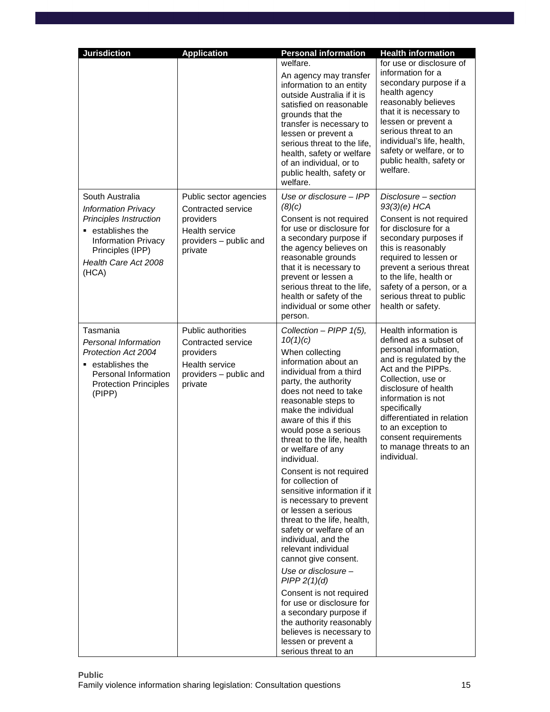| <b>Jurisdiction</b>                                                                                                                                               | <b>Application</b>                                                                                                         | <b>Personal information</b>                                                                                                                                                                                                                                                                                                                                                                                                                                                                                                                                                                                                                                                                                                                                                                                                    | <b>Health information</b>                                                                                                                                                                                                                                                                                                           |
|-------------------------------------------------------------------------------------------------------------------------------------------------------------------|----------------------------------------------------------------------------------------------------------------------------|--------------------------------------------------------------------------------------------------------------------------------------------------------------------------------------------------------------------------------------------------------------------------------------------------------------------------------------------------------------------------------------------------------------------------------------------------------------------------------------------------------------------------------------------------------------------------------------------------------------------------------------------------------------------------------------------------------------------------------------------------------------------------------------------------------------------------------|-------------------------------------------------------------------------------------------------------------------------------------------------------------------------------------------------------------------------------------------------------------------------------------------------------------------------------------|
|                                                                                                                                                                   |                                                                                                                            | welfare.<br>An agency may transfer<br>information to an entity<br>outside Australia if it is<br>satisfied on reasonable<br>grounds that the<br>transfer is necessary to<br>lessen or prevent a<br>serious threat to the life,<br>health, safety or welfare<br>of an individual, or to<br>public health, safety or<br>welfare.                                                                                                                                                                                                                                                                                                                                                                                                                                                                                                  | for use or disclosure of<br>information for a<br>secondary purpose if a<br>health agency<br>reasonably believes<br>that it is necessary to<br>lessen or prevent a<br>serious threat to an<br>individual's life, health,<br>safety or welfare, or to<br>public health, safety or<br>welfare.                                         |
| South Australia                                                                                                                                                   | Public sector agencies                                                                                                     | Use or disclosure - IPP                                                                                                                                                                                                                                                                                                                                                                                                                                                                                                                                                                                                                                                                                                                                                                                                        | Disclosure - section                                                                                                                                                                                                                                                                                                                |
| <b>Information Privacy</b><br><b>Principles Instruction</b><br>establishes the<br><b>Information Privacy</b><br>Principles (IPP)<br>Health Care Act 2008<br>(HCA) | Contracted service<br>providers<br><b>Health service</b><br>providers - public and<br>private                              | (8)(c)<br>Consent is not required<br>for use or disclosure for<br>a secondary purpose if<br>the agency believes on<br>reasonable grounds<br>that it is necessary to<br>prevent or lessen a<br>serious threat to the life,<br>health or safety of the<br>individual or some other<br>person.                                                                                                                                                                                                                                                                                                                                                                                                                                                                                                                                    | $93(3)(e)$ HCA<br>Consent is not required<br>for disclosure for a<br>secondary purposes if<br>this is reasonably<br>required to lessen or<br>prevent a serious threat<br>to the life, health or<br>safety of a person, or a<br>serious threat to public<br>health or safety.                                                        |
| Tasmania<br>Personal Information<br>Protection Act 2004<br>$\;\;$ establishes the<br>Personal Information<br><b>Protection Principles</b><br>(PIPP)               | <b>Public authorities</b><br>Contracted service<br>providers<br><b>Health service</b><br>providers - public and<br>private | Collection - PIPP 1(5),<br>10(1)(c)<br>When collecting<br>information about an<br>individual from a third<br>party, the authority<br>does not need to take<br>reasonable steps to<br>make the individual<br>aware of this if this<br>would pose a serious<br>threat to the life, health<br>or welfare of any<br>individual.<br>Consent is not required<br>for collection of<br>sensitive information if it<br>is necessary to prevent<br>or lessen a serious<br>threat to the life, health,<br>safety or welfare of an<br>individual, and the<br>relevant individual<br>cannot give consent.<br>Use or disclosure $-$<br>PIPP 2(1)(d)<br>Consent is not required<br>for use or disclosure for<br>a secondary purpose if<br>the authority reasonably<br>believes is necessary to<br>lessen or prevent a<br>serious threat to an | Health information is<br>defined as a subset of<br>personal information,<br>and is regulated by the<br>Act and the PIPPs.<br>Collection, use or<br>disclosure of health<br>information is not<br>specifically<br>differentiated in relation<br>to an exception to<br>consent requirements<br>to manage threats to an<br>individual. |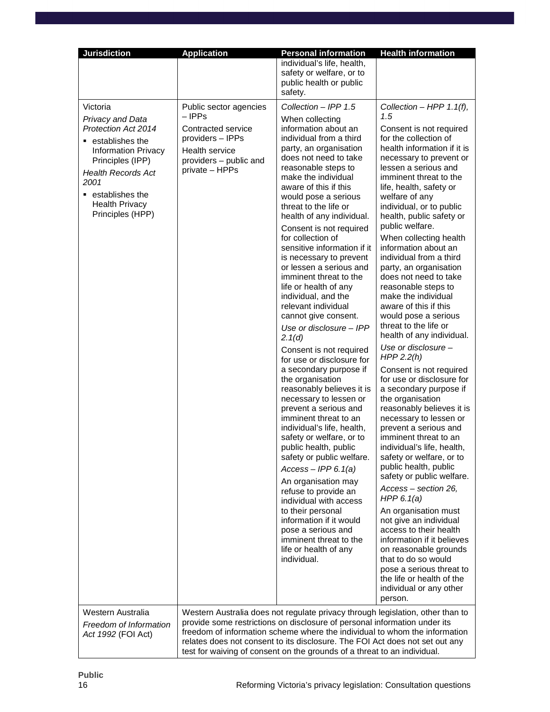| <b>Jurisdiction</b>                                                                                                                                                                                                                      | <b>Application</b>                                                                                                                              | <b>Personal information</b>                                                                                                                                                                                                                                                                                                                                                                                                                                                                                                                                                                                                                                                                                                                                                                                                                                                                                                                                                                                                                                                                                                                                                    | <b>Health information</b>                                                                                                                                                                                                                                                                                                                                                                                                                                                                                                                                                                                                                                                                                                                                                                                                                                                                                                                                                                                                                                                                                                                                                                                                                                                |
|------------------------------------------------------------------------------------------------------------------------------------------------------------------------------------------------------------------------------------------|-------------------------------------------------------------------------------------------------------------------------------------------------|--------------------------------------------------------------------------------------------------------------------------------------------------------------------------------------------------------------------------------------------------------------------------------------------------------------------------------------------------------------------------------------------------------------------------------------------------------------------------------------------------------------------------------------------------------------------------------------------------------------------------------------------------------------------------------------------------------------------------------------------------------------------------------------------------------------------------------------------------------------------------------------------------------------------------------------------------------------------------------------------------------------------------------------------------------------------------------------------------------------------------------------------------------------------------------|--------------------------------------------------------------------------------------------------------------------------------------------------------------------------------------------------------------------------------------------------------------------------------------------------------------------------------------------------------------------------------------------------------------------------------------------------------------------------------------------------------------------------------------------------------------------------------------------------------------------------------------------------------------------------------------------------------------------------------------------------------------------------------------------------------------------------------------------------------------------------------------------------------------------------------------------------------------------------------------------------------------------------------------------------------------------------------------------------------------------------------------------------------------------------------------------------------------------------------------------------------------------------|
|                                                                                                                                                                                                                                          |                                                                                                                                                 | individual's life, health,<br>safety or welfare, or to<br>public health or public<br>safety.                                                                                                                                                                                                                                                                                                                                                                                                                                                                                                                                                                                                                                                                                                                                                                                                                                                                                                                                                                                                                                                                                   |                                                                                                                                                                                                                                                                                                                                                                                                                                                                                                                                                                                                                                                                                                                                                                                                                                                                                                                                                                                                                                                                                                                                                                                                                                                                          |
| Victoria<br>Privacy and Data<br><b>Protection Act 2014</b><br>■ establishes the<br><b>Information Privacy</b><br>Principles (IPP)<br><b>Health Records Act</b><br>2001<br>■ establishes the<br><b>Health Privacy</b><br>Principles (HPP) | Public sector agencies<br>– IPPs<br>Contracted service<br>providers - IPPs<br><b>Health service</b><br>providers - public and<br>private - HPPs | Collection - IPP 1.5<br>When collecting<br>information about an<br>individual from a third<br>party, an organisation<br>does not need to take<br>reasonable steps to<br>make the individual<br>aware of this if this<br>would pose a serious<br>threat to the life or<br>health of any individual.<br>Consent is not required<br>for collection of<br>sensitive information if it<br>is necessary to prevent<br>or lessen a serious and<br>imminent threat to the<br>life or health of any<br>individual, and the<br>relevant individual<br>cannot give consent.<br>Use or disclosure - IPP<br>2.1(d)<br>Consent is not required<br>for use or disclosure for<br>a secondary purpose if<br>the organisation<br>reasonably believes it is<br>necessary to lessen or<br>prevent a serious and<br>imminent threat to an<br>individual's life, health,<br>safety or welfare, or to<br>public health, public<br>safety or public welfare.<br>$Access - IPP 6.1(a)$<br>An organisation may<br>refuse to provide an<br>individual with access<br>to their personal<br>information if it would<br>pose a serious and<br>imminent threat to the<br>life or health of any<br>individual. | Collection - HPP 1.1(f),<br>1.5<br>Consent is not required<br>for the collection of<br>health information if it is<br>necessary to prevent or<br>lessen a serious and<br>imminent threat to the<br>life, health, safety or<br>welfare of any<br>individual, or to public<br>health, public safety or<br>public welfare.<br>When collecting health<br>information about an<br>individual from a third<br>party, an organisation<br>does not need to take<br>reasonable steps to<br>make the individual<br>aware of this if this<br>would pose a serious<br>threat to the life or<br>health of any individual.<br>Use or disclosure -<br>HPP $2.2(h)$<br>Consent is not required<br>for use or disclosure for<br>a secondary purpose if<br>the organisation<br>reasonably believes it is<br>necessary to lessen or<br>prevent a serious and<br>imminent threat to an<br>individual's life, health,<br>safety or welfare, or to<br>public health, public<br>safety or public welfare.<br>Access - section 26,<br>HPP $6.1(a)$<br>An organisation must<br>not give an individual<br>access to their health<br>information if it believes<br>on reasonable grounds<br>that to do so would<br>pose a serious threat to<br>the life or health of the<br>individual or any other |
| Western Australia<br>Freedom of Information<br>Act 1992 (FOI Act)                                                                                                                                                                        |                                                                                                                                                 | Western Australia does not regulate privacy through legislation, other than to<br>provide some restrictions on disclosure of personal information under its<br>freedom of information scheme where the individual to whom the information<br>relates does not consent to its disclosure. The FOI Act does not set out any<br>test for waiving of consent on the grounds of a threat to an individual.                                                                                                                                                                                                                                                                                                                                                                                                                                                                                                                                                                                                                                                                                                                                                                          | person.                                                                                                                                                                                                                                                                                                                                                                                                                                                                                                                                                                                                                                                                                                                                                                                                                                                                                                                                                                                                                                                                                                                                                                                                                                                                  |